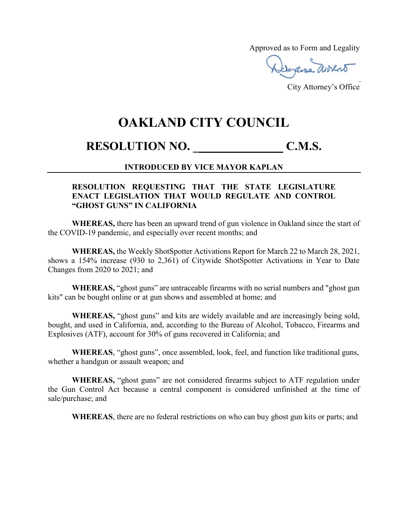Approved as to Form and Legality

Georgene aurent

City Attorney's Office

## **OAKLAND CITY COUNCIL**

## **RESOLUTION NO. \_\_\_\_\_\_\_\_\_\_\_\_\_\_\_ C.M.S.**

## **INTRODUCED BY VICE MAYOR KAPLAN**

## **RESOLUTION REQUESTING THAT THE STATE LEGISLATURE ENACT LEGISLATION THAT WOULD REGULATE AND CONTROL "GHOST GUNS" IN CALIFORNIA**

**WHEREAS,** there has been an upward trend of gun violence in Oakland since the start of the COVID-19 pandemic, and especially over recent months; and

**WHEREAS,** the Weekly ShotSpotter Activations Report for March 22 to March 28, 2021, shows a 154% increase (930 to 2,361) of Citywide ShotSpotter Activations in Year to Date Changes from 2020 to 2021; and

**WHEREAS,** "ghost guns" are untraceable firearms with no serial numbers and "ghost gun kits" can be bought online or at gun shows and assembled at home; and

**WHEREAS,** "ghost guns" and kits are widely available and are increasingly being sold, bought, and used in California, and, according to the Bureau of Alcohol, Tobacco, Firearms and Explosives (ATF), account for 30% of guns recovered in California; and

**WHEREAS**, "ghost guns", once assembled, look, feel, and function like traditional guns, whether a handgun or assault weapon; and

**WHEREAS,** "ghost guns" are not considered firearms subject to ATF regulation under the Gun Control Act because a central component is considered unfinished at the time of sale/purchase; and

**WHEREAS**, there are no federal restrictions on who can buy ghost gun kits or parts; and